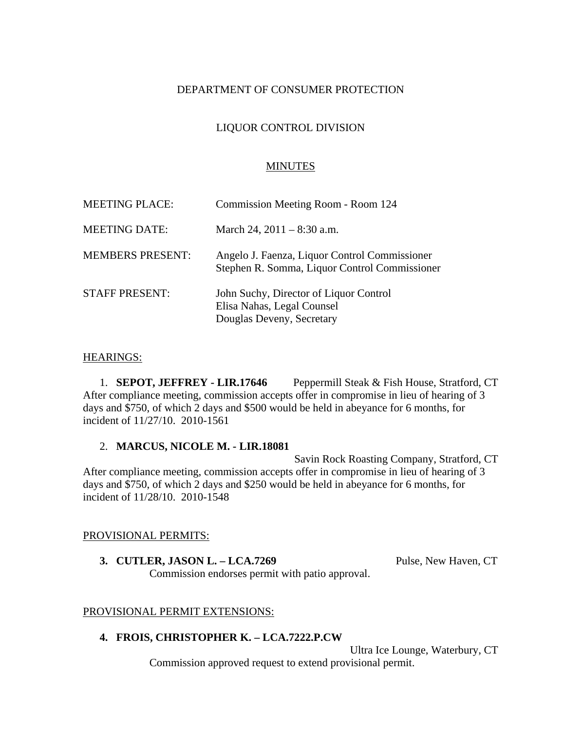# DEPARTMENT OF CONSUMER PROTECTION

# LIQUOR CONTROL DIVISION

## MINUTES

| <b>MEETING PLACE:</b>   | Commission Meeting Room - Room 124                                                                |
|-------------------------|---------------------------------------------------------------------------------------------------|
| <b>MEETING DATE:</b>    | March 24, $2011 - 8:30$ a.m.                                                                      |
| <b>MEMBERS PRESENT:</b> | Angelo J. Faenza, Liquor Control Commissioner<br>Stephen R. Somma, Liquor Control Commissioner    |
| <b>STAFF PRESENT:</b>   | John Suchy, Director of Liquor Control<br>Elisa Nahas, Legal Counsel<br>Douglas Deveny, Secretary |

### HEARINGS:

1. **SEPOT, JEFFREY - LIR.17646** Peppermill Steak & Fish House, Stratford, CT After compliance meeting, commission accepts offer in compromise in lieu of hearing of 3 days and \$750, of which 2 days and \$500 would be held in abeyance for 6 months, for incident of 11/27/10. 2010-1561

#### 2. **MARCUS, NICOLE M. - LIR.18081**

Savin Rock Roasting Company, Stratford, CT After compliance meeting, commission accepts offer in compromise in lieu of hearing of 3 days and \$750, of which 2 days and \$250 would be held in abeyance for 6 months, for incident of 11/28/10. 2010-1548

#### PROVISIONAL PERMITS:

**3. CUTLER, JASON L. – LCA.7269** Pulse, New Haven, CT Commission endorses permit with patio approval.

## PROVISIONAL PERMIT EXTENSIONS:

## **4. FROIS, CHRISTOPHER K. – LCA.7222.P.CW**

Ultra Ice Lounge, Waterbury, CT Commission approved request to extend provisional permit.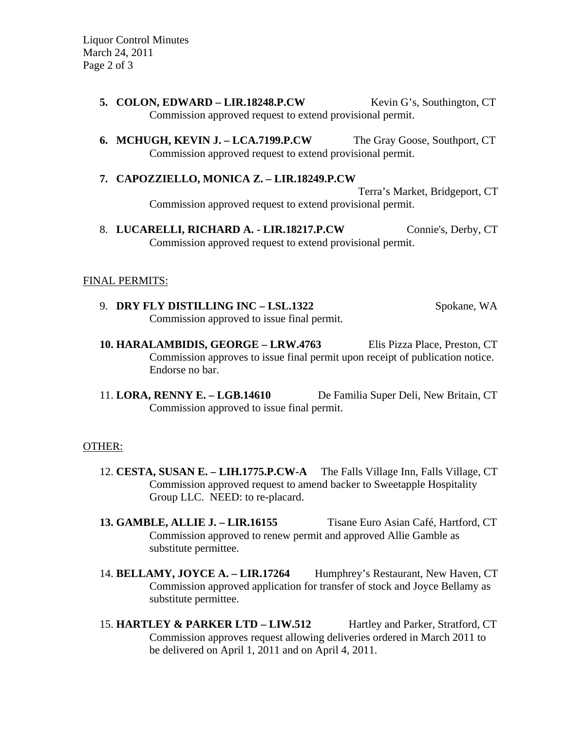Liquor Control Minutes March 24, 2011 Page 2 of 3

- **5. COLON, EDWARD LIR.18248.P.CW** Kevin G's, Southington, CT Commission approved request to extend provisional permit.
- **6. MCHUGH, KEVIN J. LCA.7199.P.CW** The Gray Goose, Southport, CT Commission approved request to extend provisional permit.
- **7. CAPOZZIELLO, MONICA Z. LIR.18249.P.CW** Terra's Market, Bridgeport, CT Commission approved request to extend provisional permit.
- 8. **LUCARELLI, RICHARD A. LIR.18217.P.CW** Connie's, Derby, CT Commission approved request to extend provisional permit.

### FINAL PERMITS:

- 9. **DRY FLY DISTILLING INC LSL.1322** Spokane, WA Commission approved to issue final permit.
- **10. HARALAMBIDIS, GEORGE LRW.4763** Elis Pizza Place, Preston, CT Commission approves to issue final permit upon receipt of publication notice. Endorse no bar.
- 11. **LORA, RENNY E. LGB.14610** De Familia Super Deli, New Britain, CT Commission approved to issue final permit.

#### OTHER:

- 12. **CESTA, SUSAN E. LIH.1775.P.CW-A** The Falls Village Inn, Falls Village, CT Commission approved request to amend backer to Sweetapple Hospitality Group LLC. NEED: to re-placard.
- **13. GAMBLE, ALLIE J. LIR.16155** Tisane Euro Asian Café, Hartford, CT Commission approved to renew permit and approved Allie Gamble as substitute permittee.
- 14. **BELLAMY, JOYCE A. LIR.17264** Humphrey's Restaurant, New Haven, CT Commission approved application for transfer of stock and Joyce Bellamy as substitute permittee.
- 15. **HARTLEY & PARKER LTD LIW.512** Hartley and Parker, Stratford, CT Commission approves request allowing deliveries ordered in March 2011 to be delivered on April 1, 2011 and on April 4, 2011.